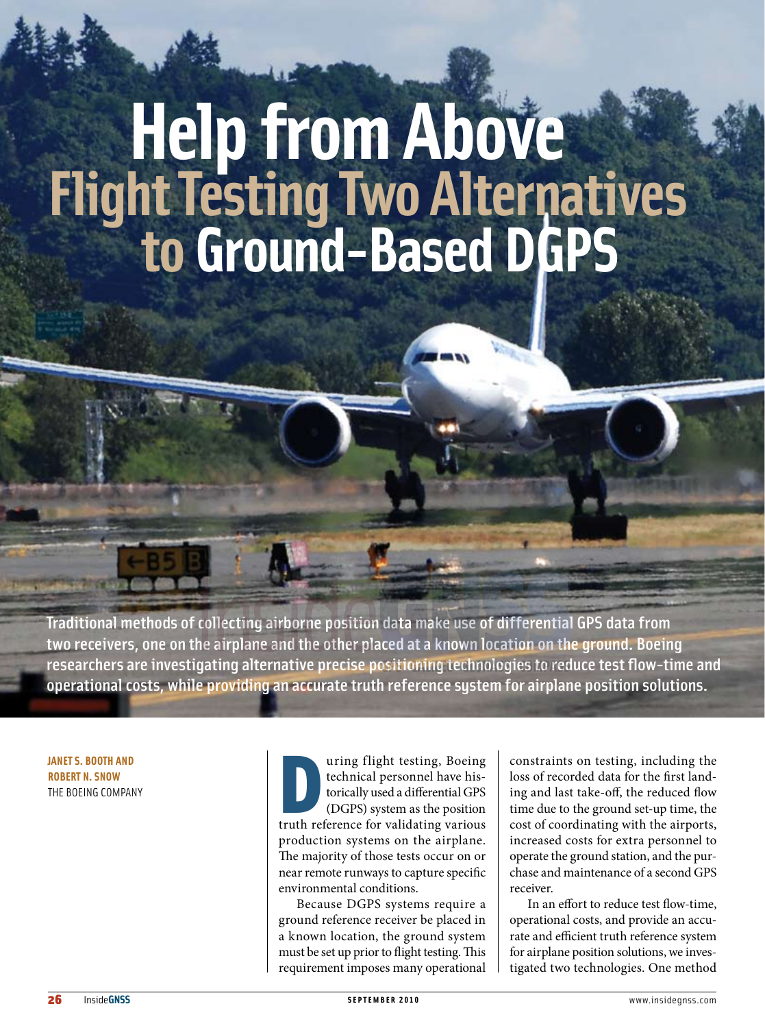# **Help from Above Flight Testing Two Alternatives to Ground-Based DGP**

Traditional methods of collecting airborne position data make use of differential GPS data from two receivers, one on the airplane and the other placed at a known location on the ground. Boeing researchers are investigating alternative precise positioning technologies to reduce test flow-time and operational costs, while providing an accurate truth reference system for airplane position solutions.

**Janet S. Booth and Robert N. Snow** The Boeing Company

uring flight testing, Boeing<br>technical personnel have his-<br>torically used a differential GPS<br>(DGPS) system as the position<br>truth reference for validating various uring flight testing, Boeing technical personnel have historically used a differential GPS (DGPS) system as the position production systems on the airplane. The majority of those tests occur on or near remote runways to capture specific environmental conditions.

Because DGPS systems require a ground reference receiver be placed in a known location, the ground system must be set up prior to flight testing. This requirement imposes many operational

constraints on testing, including the loss of recorded data for the first landing and last take-off, the reduced flow time due to the ground set-up time, the cost of coordinating with the airports, increased costs for extra personnel to operate the ground station, and the purchase and maintenance of a second GPS receiver.

In an effort to reduce test flow-time, operational costs, and provide an accurate and efficient truth reference system for airplane position solutions, we investigated two technologies. One method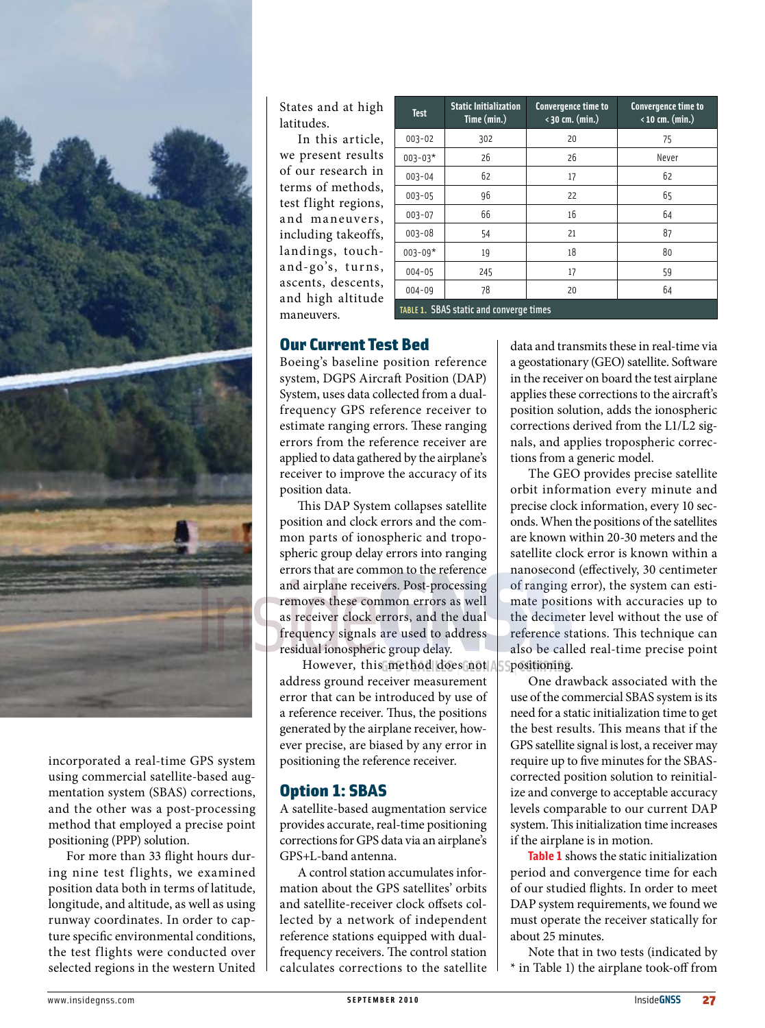

incorporated a real-time GPS system using commercial satellite-based augmentation system (SBAS) corrections, and the other was a post-processing method that employed a precise point positioning (PPP) solution.

For more than 33 flight hours during nine test flights, we examined position data both in terms of latitude, longitude, and altitude, as well as using runway coordinates. In order to capture specific environmental conditions, the test flights were conducted over selected regions in the western United States and at high latitudes.

In this article, we present results of our research in terms of methods, test flight regions, and maneuvers, including takeoffs, landings, toucha nd-go's, turns, ascents, descents, and high altitude maneuvers.

| <b>Test</b>                                    | <b>Static Initialization</b><br>Time (min.) | Convergence time to<br>$\langle$ 30 cm. (min.) | Convergence time to<br>$\langle$ 10 cm. (min.) |  |
|------------------------------------------------|---------------------------------------------|------------------------------------------------|------------------------------------------------|--|
| $003 - 02$                                     | 302                                         | 20                                             | 75                                             |  |
| $003 - 03*$                                    | 26                                          | 26                                             | Never                                          |  |
| $003 - 04$                                     | 62                                          | 17                                             | 62                                             |  |
| $003 - 05$                                     | 96                                          | 22                                             | 65                                             |  |
| $003 - 07$                                     | 66                                          | 16                                             | 64                                             |  |
| $003 - 08$                                     | 54                                          | 21                                             | 87                                             |  |
| $003 - 09*$                                    | 19                                          | 18                                             | 80                                             |  |
| $004 - 05$                                     | 245                                         | 17                                             | 59                                             |  |
| $004 - 09$                                     | 78                                          | 20                                             | 64                                             |  |
| <b>TABLE 1. SBAS static and converge times</b> |                                             |                                                |                                                |  |

# Our Current Test Bed

Boeing's baseline position reference system, DGPS Aircraft Position (DAP) System, uses data collected from a dualfrequency GPS reference receiver to estimate ranging errors. These ranging errors from the reference receiver are applied to data gathered by the airplane's receiver to improve the accuracy of its position data.

This DAP System collapses satellite position and clock errors and the common parts of ionospheric and tropospheric group delay errors into ranging errors that are common to the reference and airplane receivers. Post-processing removes these common errors as well as receiver clock errors, and the dual frequency signals are used to address residual ionospheric group delay.

 However, this method does not address ground receiver measurement error that can be introduced by use of a reference receiver. Thus, the positions generated by the airplane receiver, however precise, are biased by any error in positioning the reference receiver.

# Option 1: SBAS

A satellite-based augmentation service provides accurate, real-time positioning corrections for GPS data via an airplane's GPS+L-band antenna.

A control station accumulates information about the GPS satellites' orbits and satellite-receiver clock offsets collected by a network of independent reference stations equipped with dualfrequency receivers. The control station calculates corrections to the satellite data and transmits these in real-time via a geostationary (GEO) satellite. Software in the receiver on board the test airplane applies these corrections to the aircraft's position solution, adds the ionospheric corrections derived from the L1/L2 signals, and applies tropospheric corrections from a generic model.

The GEO provides precise satellite orbit information every minute and precise clock information, every 10 seconds. When the positions of the satellites are known within 20-30 meters and the satellite clock error is known within a nanosecond (effectively, 30 centimeter of ranging error), the system can estimate positions with accuracies up to the decimeter level without the use of reference stations. This technique can also be called real-time precise point positioning.

One drawback associated with the use of the commercial SBAS system is its need for a static initialization time to get the best results. This means that if the GPS satellite signal is lost, a receiver may require up to five minutes for the SBAScorrected position solution to reinitialize and converge to acceptable accuracy levels comparable to our current DAP system. This initialization time increases if the airplane is in motion.

**Table 1** shows the static initialization period and convergence time for each of our studied flights. In order to meet DAP system requirements, we found we must operate the receiver statically for about 25 minutes.

Note that in two tests (indicated by \* in Table 1) the airplane took-off from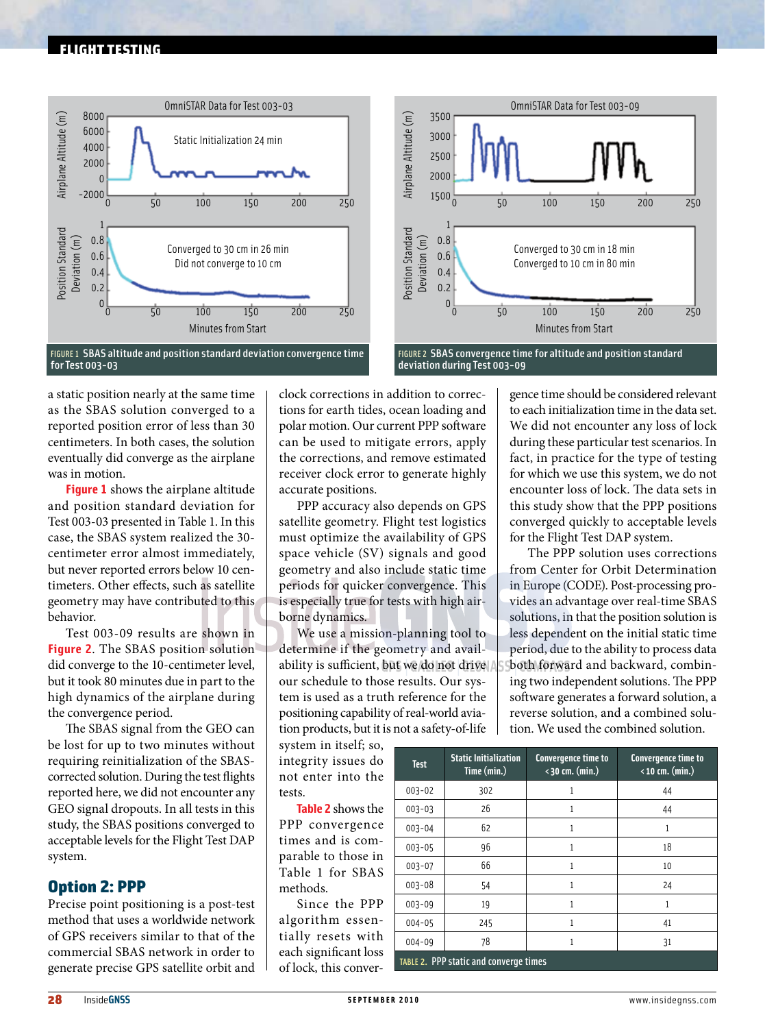#### flight testing



FIGURE 1 SBAS altitude and position standard deviation convergence time for Test 003-03

a static position nearly at the same time as the SBAS solution converged to a reported position error of less than 30 centimeters. In both cases, the solution eventually did converge as the airplane was in motion.

**Figure 1** shows the airplane altitude and position standard deviation for Test 003-03 presented in Table 1. In this case, the SBAS system realized the 30 centimeter error almost immediately, but never reported errors below 10 centimeters. Other effects, such as satellite geometry may have contributed to this behavior.

Test 003-09 results are shown in **Figure 2**. The SBAS position solution did converge to the 10-centimeter level, but it took 80 minutes due in part to the high dynamics of the airplane during the convergence period.

The SBAS signal from the GEO can be lost for up to two minutes without requiring reinitialization of the SBAScorrected solution. During the test flights reported here, we did not encounter any GEO signal dropouts. In all tests in this study, the SBAS positions converged to acceptable levels for the Flight Test DAP system.

# Option 2: PPP

Precise point positioning is a post-test method that uses a worldwide network of GPS receivers similar to that of the commercial SBAS network in order to generate precise GPS satellite orbit and

clock corrections in addition to corrections for earth tides, ocean loading and polar motion. Our current PPP software can be used to mitigate errors, apply the corrections, and remove estimated receiver clock error to generate highly accurate positions.

PPP accuracy also depends on GPS satellite geometry. Flight test logistics must optimize the availability of GPS space vehicle (SV) signals and good geometry and also include static time periods for quicker convergence. This is especially true for tests with high airborne dynamics.

We use a mission-planning tool to determine if the geometry and availability is sufficient, but we do not drive our schedule to those results. Our system is used as a truth reference for the positioning capability of real-world aviation products, but it is not a safety-of-life

system in itself; so, integrity issues do not enter into th tests.

**Table 2** shows the PPP convergence times and is comparable to those in Table 1 for SBA methods.

Since the PP algorithm essentially resets with each significant los of lock, this conver-



FIGURE 2 SBAS convergence time for altitude and position standard deviation during Test 003-09

gence time should be considered relevant to each initialization time in the data set. We did not encounter any loss of lock during these particular test scenarios. In fact, in practice for the type of testing for which we use this system, we do not encounter loss of lock. The data sets in this study show that the PPP positions converged quickly to acceptable levels for the Flight Test DAP system.

The PPP solution uses corrections from Center for Orbit Determination in Europe (CODE). Post-processing provides an advantage over real-time SBAS solutions, in that the position solution is less dependent on the initial static time period, due to the ability to process data both forward and backward, combining two independent solutions. The PPP software generates a forward solution, a reverse solution, and a combined solution. We used the combined solution.

| 0<br>e   | <b>Test</b> | <b>Static Initialization</b><br>Time (min.) | Convergence time to<br>$\langle 30 \text{ cm.} (\text{min.})$ | Convergence time to<br>$\langle$ 10 cm. (min.) |
|----------|-------------|---------------------------------------------|---------------------------------------------------------------|------------------------------------------------|
|          | $003 - 02$  | 302                                         |                                                               | 44                                             |
| e        | $003 - 03$  | 26                                          | 1                                                             | 44                                             |
| e        | $003 - 04$  | 62                                          | 1                                                             | 1                                              |
| ŀ        | $003 - 05$  | 96                                          | 1                                                             | 18                                             |
| n<br>Š   | $003 - 07$  | 66                                          | 1                                                             | 10                                             |
|          | 003-08      | 54                                          | 1                                                             | 24                                             |
| P        | $003 - 09$  | 19                                          | 1                                                             | 1                                              |
| Ĉ,       | $004 - 05$  | 245                                         | 1                                                             | 41                                             |
| h        | $004 - 09$  | 78                                          | 1                                                             | 31                                             |
| S,<br>٠. |             | TABLE 2. PPP static and converge times      |                                                               |                                                |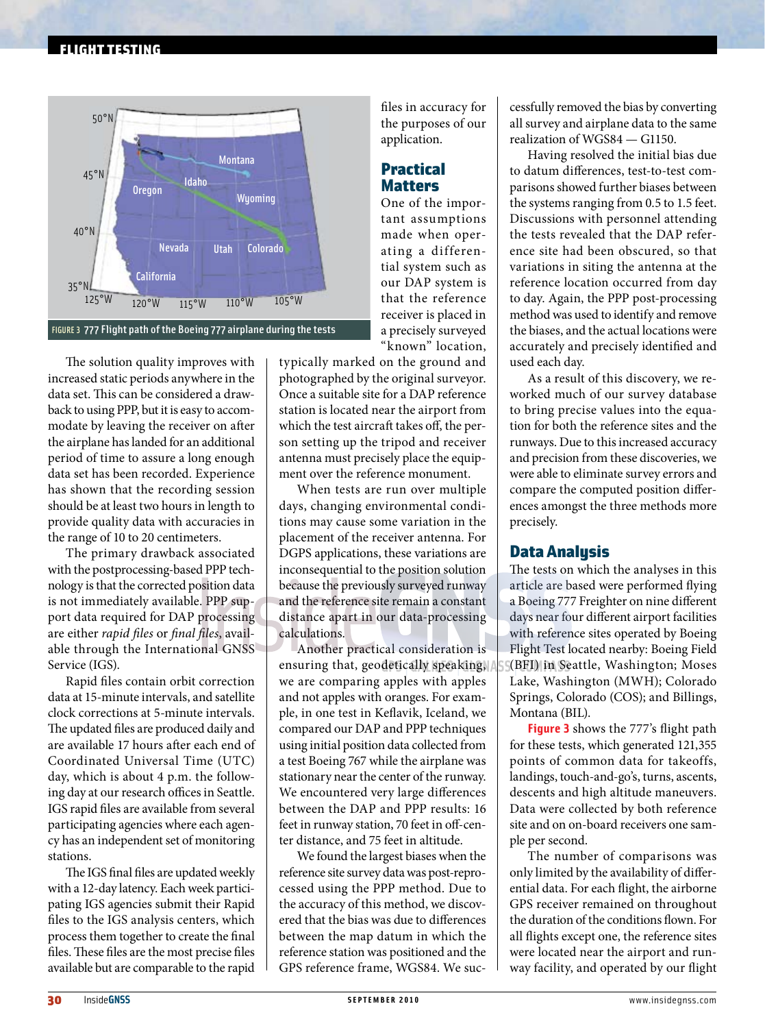# flight testing



The solution quality improves with increased static periods anywhere in the data set. This can be considered a drawback to using PPP, but it is easy to accommodate by leaving the receiver on after the airplane has landed for an additional period of time to assure a long enough data set has been recorded. Experience has shown that the recording session should be at least two hours in length to provide quality data with accuracies in the range of 10 to 20 centimeters.

The primary drawback associated with the postprocessing-based PPP technology is that the corrected position data is not immediately available. PPP support data required for DAP processing are either *rapid files* or *final files*, available through the International GNSS Service (IGS).

Rapid files contain orbit correction data at 15-minute intervals, and satellite clock corrections at 5-minute intervals. The updated files are produced daily and are available 17 hours after each end of Coordinated Universal Time (UTC) day, which is about 4 p.m. the following day at our research offices in Seattle. IGS rapid files are available from several participating agencies where each agency has an independent set of monitoring stations.

The IGS final files are updated weekly with a 12-day latency. Each week participating IGS agencies submit their Rapid files to the IGS analysis centers, which process them together to create the final files. These files are the most precise files available but are comparable to the rapid

files in accuracy for the purposes of our application.

# Practical **Matters**

One of the important assumptions made when operating a differential system such as our DAP system is that the reference receiver is placed in a precisely surveyed "known" location,

typically marked on the ground and photographed by the original surveyor. Once a suitable site for a DAP reference station is located near the airport from which the test aircraft takes off, the person setting up the tripod and receiver antenna must precisely place the equipment over the reference monument.

When tests are run over multiple days, changing environmental conditions may cause some variation in the placement of the receiver antenna. For DGPS applications, these variations are inconsequential to the position solution because the previously surveyed runway and the reference site remain a constant distance apart in our data-processing calculations.

Another practical consideration is ensuring that, geodetically speaking, we are comparing apples with apples and not apples with oranges. For example, in one test in Keflavik, Iceland, we compared our DAP and PPP techniques using initial position data collected from a test Boeing 767 while the airplane was stationary near the center of the runway. We encountered very large differences between the DAP and PPP results: 16 feet in runway station, 70 feet in off-center distance, and 75 feet in altitude.

We found the largest biases when the reference site survey data was post-reprocessed using the PPP method. Due to the accuracy of this method, we discovered that the bias was due to differences between the map datum in which the reference station was positioned and the GPS reference frame, WGS84. We successfully removed the bias by converting all survey and airplane data to the same realization of WGS84 — G1150.

Having resolved the initial bias due to datum differences, test-to-test comparisons showed further biases between the systems ranging from 0.5 to 1.5 feet. Discussions with personnel attending the tests revealed that the DAP reference site had been obscured, so that variations in siting the antenna at the reference location occurred from day to day. Again, the PPP post-processing method was used to identify and remove the biases, and the actual locations were accurately and precisely identified and used each day.

As a result of this discovery, we reworked much of our survey database to bring precise values into the equation for both the reference sites and the runways. Due to this increased accuracy and precision from these discoveries, we were able to eliminate survey errors and compare the computed position differences amongst the three methods more precisely.

# Data Analysis

The tests on which the analyses in this article are based were performed flying a Boeing 777 Freighter on nine different days near four different airport facilities with reference sites operated by Boeing Flight Test located nearby: Boeing Field (BFI) in Seattle, Washington; Moses Lake, Washington (MWH); Colorado Springs, Colorado (COS); and Billings, Montana (BIL).

**Figure 3** shows the 777's flight path for these tests, which generated 121,355 points of common data for takeoffs, landings, touch-and-go's, turns, ascents, descents and high altitude maneuvers. Data were collected by both reference site and on on-board receivers one sample per second.

The number of comparisons was only limited by the availability of differential data. For each flight, the airborne GPS receiver remained on throughout the duration of the conditions flown. For all flights except one, the reference sites were located near the airport and runway facility, and operated by our flight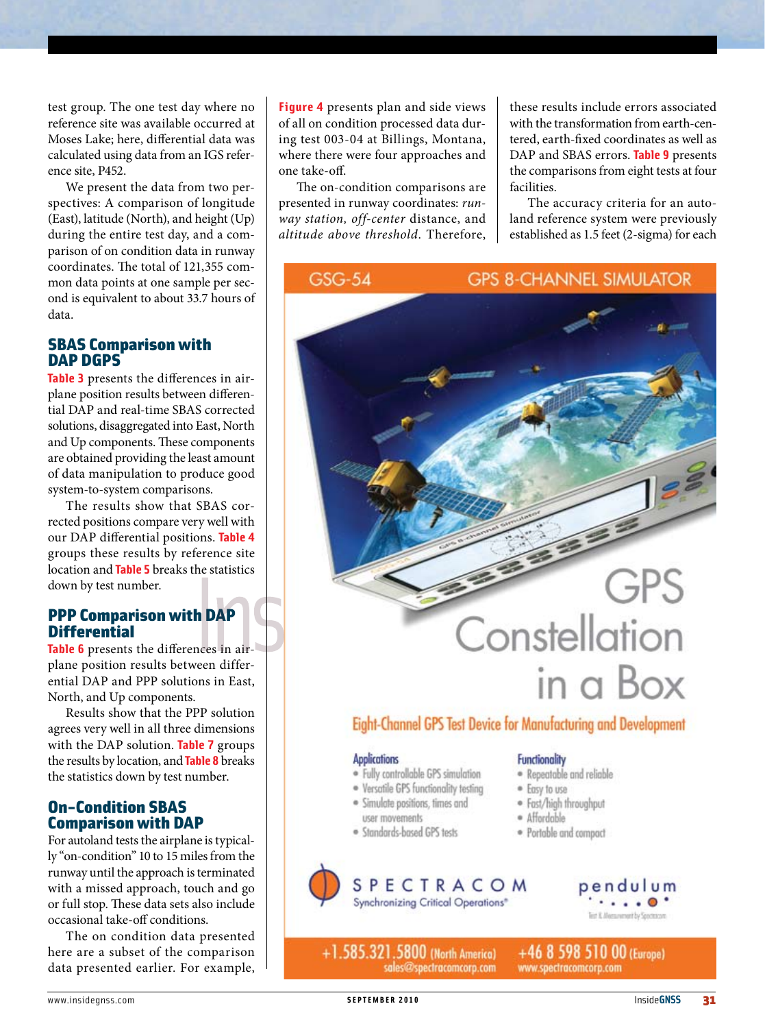test group. The one test day where no reference site was available occurred at Moses Lake; here, differential data was calculated using data from an IGS reference site, P452.

We present the data from two perspectives: A comparison of longitude (East), latitude (North), and height (Up) during the entire test day, and a comparison of on condition data in runway coordinates. The total of 121,355 common data points at one sample per second is equivalent to about 33.7 hours of data.

# SBAS Comparison with DAP DGPS

**Table 3** presents the differences in airplane position results between differential DAP and real-time SBAS corrected solutions, disaggregated into East, North and Up components. These components are obtained providing the least amount of data manipulation to produce good system-to-system comparisons.

The results show that SBAS corrected positions compare very well with our DAP differential positions. **Table 4** groups these results by reference site location and **Table 5** breaks the statistics down by test number.

# PPP Comparison with DAP **Differential**

**Table 6** presents the differences in airplane position results between differential DAP and PPP solutions in East, North, and Up components.

Results show that the PPP solution agrees very well in all three dimensions with the DAP solution. **Table 7** groups the results by location, and **Table 8** breaks the statistics down by test number.

# On-Condition SBAS Comparison with DAP

For autoland tests the airplane is typically "on-condition" 10 to 15 miles from the runway until the approach is terminated with a missed approach, touch and go or full stop. These data sets also include occasional take-off conditions.

The on condition data presented here are a subset of the comparison data presented earlier. For example,

**Figure 4** presents plan and side views of all on condition processed data during test 003-04 at Billings, Montana, where there were four approaches and one take-off.

The on-condition comparisons are presented in runway coordinates: *runway station, off-center* distance, and *altitude above threshold*. Therefore,

**GSG-54** 

these results include errors associated with the transformation from earth-centered, earth-fixed coordinates as well as DAP and SBAS errors. **Table 9** presents the comparisons from eight tests at four facilities.

The accuracy criteria for an autoland reference system were previously established as 1.5 feet (2-sigma) for each

**GPS 8-CHANNEL SIMULATOR** 

# **GPS** Constellation in a Box

# Eight-Channel GPS Test Device for Manufacturing and Development

#### **Applications**

- · Fully controllable GPS simulation
- · Versatile GPS functionality testing
- · Simulate positions, times and
- user movements
- · Standards-based GPS tests

+1.585.321.5800 (North America)

# **Functionality**

- · Repeatable and reliable
- · Easy to use
- · Fast/high throughput
- · Affordable
- · Portable and compact



sales@spectracomcorp.com



+46 8 598 510 00 (Europe) www.spectracomcorp.com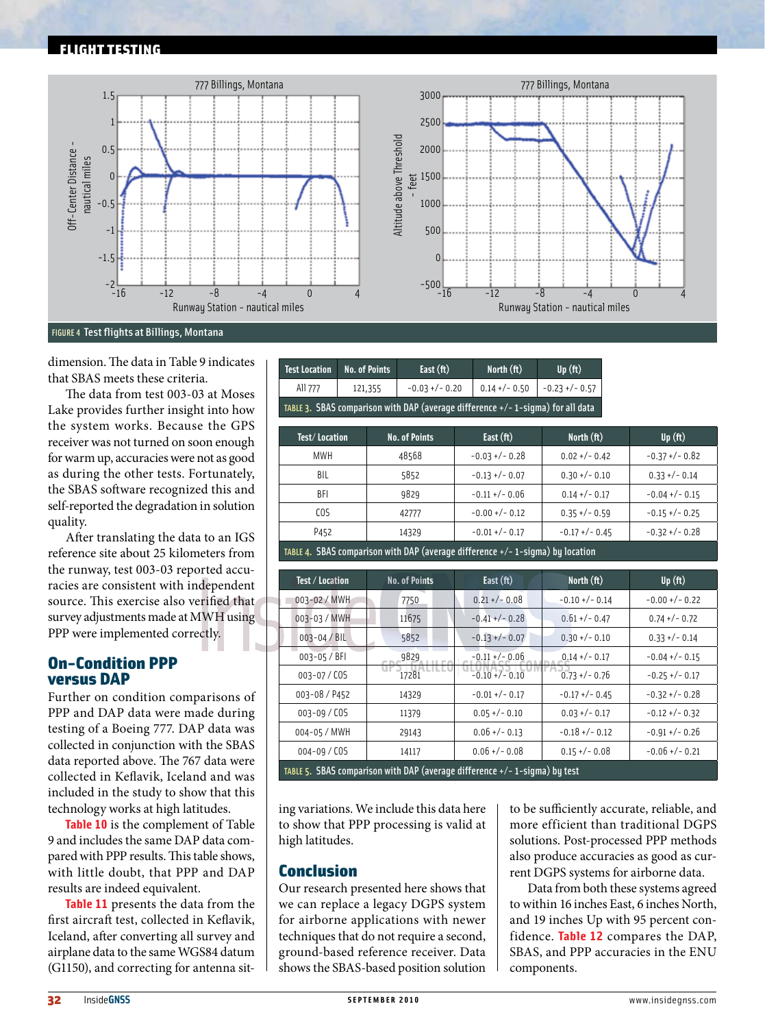



FIGURE 4 Test flights at Billings, Montana

dimension. The data in Table 9 indicates that SBAS meets these criteria.

The data from test 003-03 at Moses Lake provides further insight into how the system works. Because the GPS receiver was not turned on soon enough for warm up, accuracies were not as good as during the other tests. Fortunately, the SBAS software recognized this and self-reported the degradation in solution quality.

After translating the data to an IGS reference site about 25 kilometers from the runway, test 003-03 reported accuracies are consistent with independent source. This exercise also verified that survey adjustments made at MWH using PPP were implemented correctly.

# On-Condition PPP versus DAP

Further on condition comparisons of PPP and DAP data were made during testing of a Boeing 777. DAP data was collected in conjunction with the SBAS data reported above. The 767 data were collected in Keflavik, Iceland and was included in the study to show that this technology works at high latitudes.

**Table 10** is the complement of Table 9 and includes the same DAP data compared with PPP results. This table shows, with little doubt, that PPP and DAP results are indeed equivalent.

**Table 11** presents the data from the first aircraft test, collected in Keflavik, Iceland, after converting all survey and airplane data to the same WGS84 datum (G1150), and correcting for antenna sit-

| Fest Location                                                                   | No. of Points | East $(ft)$        | North $(ft)$ | Up(f <sub>t</sub> )              |
|---------------------------------------------------------------------------------|---------------|--------------------|--------------|----------------------------------|
| All 777                                                                         | 121,355       | $-0.03 + / - 0.20$ |              | $0.14$ +/- 0.50 $-0.23$ +/- 0.57 |
| TABLE 3. SBAS comparison with DAP (average difference +/- 1-sigma) for all data |               |                    |              |                                  |

| Test/Location | <b>No. of Points</b> | East $(ft)$       | North $({\bf ft})$ | Up(f <sub>t</sub> ) |
|---------------|----------------------|-------------------|--------------------|---------------------|
| <b>MWH</b>    | 48568                | $-0.03 + (-0.28)$ | $0.02 + / - 0.42$  | $-0.37 + (-0.82)$   |
| BIL           | 5852                 | $-0.13 + (-0.07)$ | $0.30 +/- 0.10$    | $0.33 +/- 0.14$     |
| BFI           | 9829                 | $-0.11 + (-0.06)$ | $0.14 + (-0.17)$   | $-0.04 + (-0.15)$   |
| COS           | 42777                | $-0.00 + (-0.12)$ | $0.35 + (-0.59)$   | $-0.15 + (-0.25)$   |
| P452          | 14329                | $-0.01 + (-0.17)$ | $-0.17 + (-0.45)$  | $-0.32 + (-0.28)$   |
|               | .                    |                   |                    |                     |

TABLE 4. SBAS comparison with DAP (average difference +/- 1-sigma) by location

| Test / Location                                                               | <b>No. of Points</b> | East $(ft)$       | North (ft)        | Up(f <sub>t</sub> ) |
|-------------------------------------------------------------------------------|----------------------|-------------------|-------------------|---------------------|
| 003-02 / MWH                                                                  | 7750                 | $0.21 + (-0.08)$  | $-0.10 + (-0.14)$ | $-0.00 + (-0.22)$   |
| 003-03 / MWH                                                                  | 11675                | $-0.41 + (-0.28)$ | $0.61 + / - 0.47$ | $0.74 + (-0.72)$    |
| $003 - 04 / BIL$                                                              | 5852                 | $-0.13 + (-0.07)$ | $0.30 +/- 0.10$   | $0.33 + (-0.14)$    |
| 003-05 / BFI                                                                  | 9829                 | $-0.11 + (-0.06)$ | $0.14 + (-0.17)$  | $-0.04 + (-0.15)$   |
| 003-07/COS                                                                    | 17281                | $-0.10 + (-0.10)$ | $0.73 +/- 0.76$   | $-0.25 + (-0.17)$   |
| 003-08 / P452                                                                 | 14329                | $-0.01 + (-0.17)$ | $-0.17 + (-0.45)$ | $-0.32 + (-0.28)$   |
| 003-09 / COS                                                                  | 11379                | $0.05 + (-0.10)$  | $0.03 + (-0.17)$  | $-0.12 + (-0.32)$   |
| 004-05 / MWH                                                                  | 29143                | $0.06 +/- 0.13$   | $-0.18 + (-0.12)$ | $-0.91 + (-0.26)$   |
| $004 - 09 / CO5$                                                              | 14117                | $0.06 +/- 0.08$   | $0.15 + (-0.08)$  | $-0.06 + (-0.21)$   |
| TABLE 5. SBAS comparison with DAP (average difference $+/- 1$ -sigma) by test |                      |                   |                   |                     |

ing variations. We include this data here to show that PPP processing is valid at high latitudes.

# Conclusion

Our research presented here shows that we can replace a legacy DGPS system for airborne applications with newer techniques that do not require a second, ground-based reference receiver. Data shows the SBAS-based position solution to be sufficiently accurate, reliable, and more efficient than traditional DGPS solutions. Post-processed PPP methods also produce accuracies as good as current DGPS systems for airborne data.

Data from both these systems agreed to within 16 inches East, 6 inches North, and 19 inches Up with 95 percent confidence. **Table 12** compares the DAP, SBAS, and PPP accuracies in the ENU components.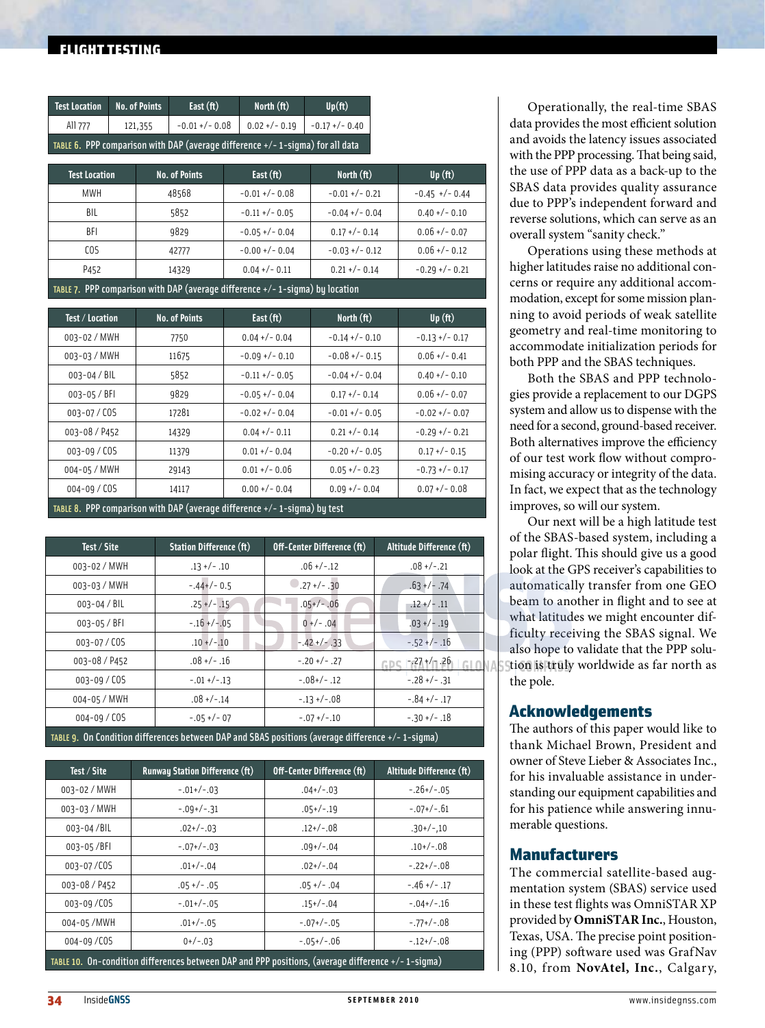# flight testing

| <b>Test Location</b>                                                             | No. of Points | East $(ft)$       | North $(ft)$     | $Up({\bf ft})$   |
|----------------------------------------------------------------------------------|---------------|-------------------|------------------|------------------|
| All 777                                                                          | 121,355       | $-0.01 + (-0.08)$ | $0.02 + (-0.19)$ | $-0.17$ +/- 0.40 |
| TABLE 6. PPP comparison with DAP (average difference $+/-$ 1-sigma) for all data |               |                   |                  |                  |

| <b>Test Location</b>                                                             | <b>No. of Points</b> | East $(ft)$       | North $({\bf ft})$ | Up(ft)           |
|----------------------------------------------------------------------------------|----------------------|-------------------|--------------------|------------------|
| <b>MWH</b>                                                                       | 48568                | $-0.01 + (-0.08)$ | $-0.01 + (-0.21)$  | $-0.45$ +/-0.44  |
| BIL                                                                              | 5852                 | $-0.11 + (-0.05)$ | $-0.04 + (-0.04)$  | $0.40 +/- 0.10$  |
| BFI                                                                              | 9829                 | $-0.05 + (-0.04)$ | $0.17 + / - 0.14$  | $0.06 +/- 0.07$  |
| COS                                                                              | 42777                | $-0.00 + (-0.04)$ | $-0.03 + (-0.12)$  | $0.06 +/- 0.12$  |
| P452                                                                             | 14329                | $0.04 +/- 0.11$   | $0.21 + / - 0.14$  | $-0.29$ +/- 0.21 |
| TABLE 7. PPP comparison with DAP (average difference $+/- 1$ -sigma) by location |                      |                   |                    |                  |

| Test / Location  | <b>No. of Points</b> | East $(ft)$       | North $({\bf ft})$ | Up(f <sub>t</sub> ) |
|------------------|----------------------|-------------------|--------------------|---------------------|
| 003-02 / MWH     | 7750                 | $0.04 + (-0.04)$  | $-0.14$ +/- 0.10   | $-0.13 + (-0.17)$   |
| 003-03 / MWH     | 11675                | $-0.09$ +/- 0.10  | $-0.08 + (-0.15)$  | $0.06 +/- 0.41$     |
| $003 - 04 / BIL$ | 5852                 | $-0.11 + (-0.05)$ | $-0.04 + (-0.04)$  | $0.40 +/- 0.10$     |
| $003 - 05 / BH$  | 9829                 | $-0.05 + (-0.04)$ | $0.17 + (-0.14)$   | $0.06 +/- 0.07$     |
| 003-07/COS       | 17281                | $-0.02 + (-0.04)$ | $-0.01 + (-0.05)$  | $-0.02 + (-0.07)$   |
| 003-08 / P452    | 14329                | $0.04 + (-0.11)$  | $0.21 + (-0.14)$   | $-0.29 + (-0.21)$   |
| $003 - 09 / COS$ | 11379                | $0.01 + (-0.04)$  | $-0.20 + (-0.05)$  | $0.17 + (-0.15)$    |
| 004-05 / MWH     | 29143                | $0.01 + (-0.06)$  | $0.05 + (-0.23)$   | $-0.73 + (-0.17)$   |
| $004 - 09 / COS$ | 14117                | $0.00 +/- 0.04$   | $0.09 + (-0.04)$   | $0.07 + (-0.08)$    |

ABLE 8. PPP comparison with DAP (average difference +/- 1-sigma) by test

| Test / Site      | <b>Station Difference (ft)</b>                                                                 | Off-Center Difference (ft) | Altitude Difference (ft) |
|------------------|------------------------------------------------------------------------------------------------|----------------------------|--------------------------|
| 003-02 / MWH     | $.13 + / - .10$                                                                                | $.06 +/-.12$               | $.08 +/-.21$             |
| 003-03 / MWH     | $-.44+/-0.5$                                                                                   | $-.27 +/- .30$             | $.63 + / - .74$          |
| $003 - 04 / BIL$ | $.25 +/- .15$                                                                                  | $.05+/-.06$                | $.12 + / - .11$          |
| $003 - 05 / BFI$ | $-.16 + / -.05$                                                                                | $0 +/- .04$                | $.03 + / - .19$          |
| 003-07 / COS     | $.10 + / - .10$                                                                                | $-42+/-33$                 | $-52 + / -16$            |
| 003-08 / P452    | $.08 +/- .16$                                                                                  | $-.20+/-$ .27              | $-27+/-26$               |
| 003-09/COS       | $-.01 + /-.13$                                                                                 | $-.08+/-.12$               | $-0.28 + (-0.31)$        |
| 004-05 / MWH     | $.08 +/-.14$                                                                                   | $-13+/-08$                 | $-.84 +/- .17$           |
| $004 - 09 / CO5$ | $-0.5 + (-07)$                                                                                 | $-.07+/-.10$               | $-0.30 + / -0.18$        |
|                  | $\eta$ Capition difference between DAD and CRAC nocitions (average difference $\pm/2$ 1-cigma) |                            |                          |

TABLE 9. On Condition differences between DAP and SBAS positions (average difference +/- 1-sigma)

| Test / Site                                                                                          | <b>Runway Station Difference (ft)</b> | Off-Center Difference (ft) | Altitude Difference (ft) |  |
|------------------------------------------------------------------------------------------------------|---------------------------------------|----------------------------|--------------------------|--|
| 003-02 / MWH                                                                                         | $-0.01+/-0.03$                        | $.04+/-.03$                | $-.26+/-.05$             |  |
| 003-03 / MWH                                                                                         | $-0.9+/-31$                           | $.05+/-.19$                | $-.07+/-.61$             |  |
| 003-04/BIL                                                                                           | $.02+/-.03$                           | $.12+/-.08$                | $.30+/-.10$              |  |
| 003-05/BFI                                                                                           | $-0.07+/-0.03$                        | $.09+/-.04$                | $.10+/-.08$              |  |
| 003-07/COS                                                                                           | $.01+/-.04$                           | $.02+/-.04$                | $-.22+/-.08$             |  |
| 003-08 / P452                                                                                        | $.05 +/- .05$                         | $.05 +/- .04$              | $-.46+/-.17$             |  |
| 003-09/COS                                                                                           | $-.01+/-.05$                          | $.15+/-.04$                | $-.04+/-.16$             |  |
| 004-05/MWH                                                                                           | $.01+/-.05$                           | $-0.07+/-0.05$             | $-.77+/-.08$             |  |
| 004-09/COS                                                                                           | $0+/-.03$                             | $-0.5+/-0.06$              | $-.12+/-.08$             |  |
| TABLE 10. On-condition differences between DAP and PPP positions, (average difference $+/-$ 1-sigma) |                                       |                            |                          |  |

Operationally, the real-time SBAS data provides the most efficient solution and avoids the latency issues associated with the PPP processing. That being said, the use of PPP data as a back-up to the SBAS data provides quality assurance due to PPP's independent forward and reverse solutions, which can serve as an overall system "sanity check."

Operations using these methods at higher latitudes raise no additional concerns or require any additional accommodation, except for some mission planning to avoid periods of weak satellite geometry and real-time monitoring to accommodate initialization periods for both PPP and the SBAS techniques.

Both the SBAS and PPP technologies provide a replacement to our DGPS system and allow us to dispense with the need for a second, ground-based receiver. Both alternatives improve the efficiency of our test work flow without compromising accuracy or integrity of the data. In fact, we expect that as the technology improves, so will our system.

Our next will be a high latitude test of the SBAS-based system, including a polar flight. This should give us a good look at the GPS receiver's capabilities to automatically transfer from one GEO beam to another in flight and to see at what latitudes we might encounter difficulty receiving the SBAS signal. We also hope to validate that the PPP solution is truly worldwide as far north as the pole.

# Acknowledgements

The authors of this paper would like to thank Michael Brown, President and owner of Steve Lieber & Associates Inc., for his invaluable assistance in understanding our equipment capabilities and for his patience while answering innumerable questions.

# **Manufacturers**

The commercial satellite-based augmentation system (SBAS) service used in these test flights was OmniSTAR XP provided by **OmniSTAR Inc.**, Houston, Texas, USA. The precise point positioning (PPP) software used was GrafNav 8.10, from **NovAtel, Inc.**, Calgary,